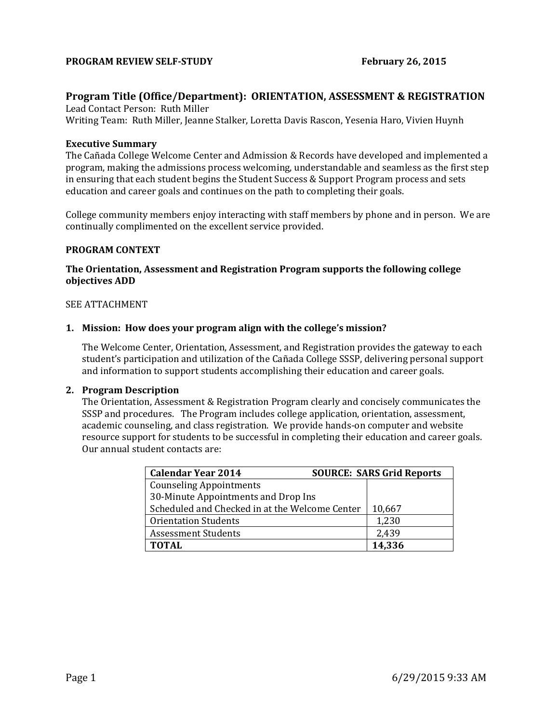### **PROGRAM REVIEW SELF-STUDY February 26, 2015**

# **Program Title (Office/Department): ORIENTATION, ASSESSMENT & REGISTRATION**

Lead Contact Person: Ruth Miller Writing Team: Ruth Miller, Jeanne Stalker, Loretta Davis Rascon, Yesenia Haro, Vivien Huynh

### **Executive Summary**

The Cañada College Welcome Center and Admission & Records have developed and implemented a program, making the admissions process welcoming, understandable and seamless as the first step in ensuring that each student begins the Student Success & Support Program process and sets education and career goals and continues on the path to completing their goals.

College community members enjoy interacting with staff members by phone and in person. We are continually complimented on the excellent service provided.

#### **PROGRAM CONTEXT**

## **The Orientation, Assessment and Registration Program supports the following college objectives ADD**

#### SEE ATTACHMENT

#### **1. Mission: How does your program align with the college's mission?**

The Welcome Center, Orientation, Assessment, and Registration provides the gateway to each student's participation and utilization of the Cañada College SSSP, delivering personal support and information to support students accomplishing their education and career goals.

#### **2. Program Description**

The Orientation, Assessment & Registration Program clearly and concisely communicates the SSSP and procedures. The Program includes college application, orientation, assessment, academic counseling, and class registration. We provide hands-on computer and website resource support for students to be successful in completing their education and career goals. Our annual student contacts are:

| <b>Calendar Year 2014</b>                      | <b>SOURCE: SARS Grid Reports</b> |        |
|------------------------------------------------|----------------------------------|--------|
| <b>Counseling Appointments</b>                 |                                  |        |
| 30-Minute Appointments and Drop Ins            |                                  |        |
| Scheduled and Checked in at the Welcome Center | 10,667                           |        |
| <b>Orientation Students</b>                    |                                  | 1,230  |
| <b>Assessment Students</b>                     | 2,439                            |        |
| <b>TOTAL</b>                                   |                                  | 14,336 |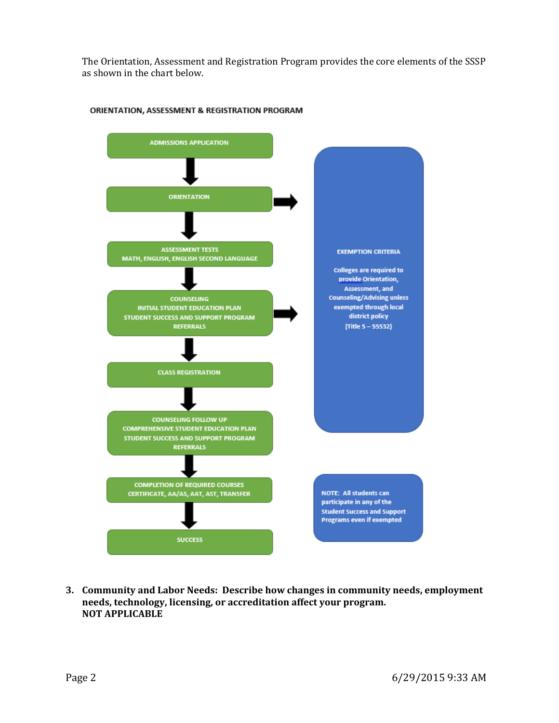The Orientation, Assessment and Registration Program provides the core elements of the SSSP as shown in the chart below.



#### ORIENTATION, ASSESSMENT & REGISTRATION PROGRAM

**3. Community and Labor Needs: Describe how changes in community needs, employment needs, technology, licensing, or accreditation affect your program. NOT APPLICABLE**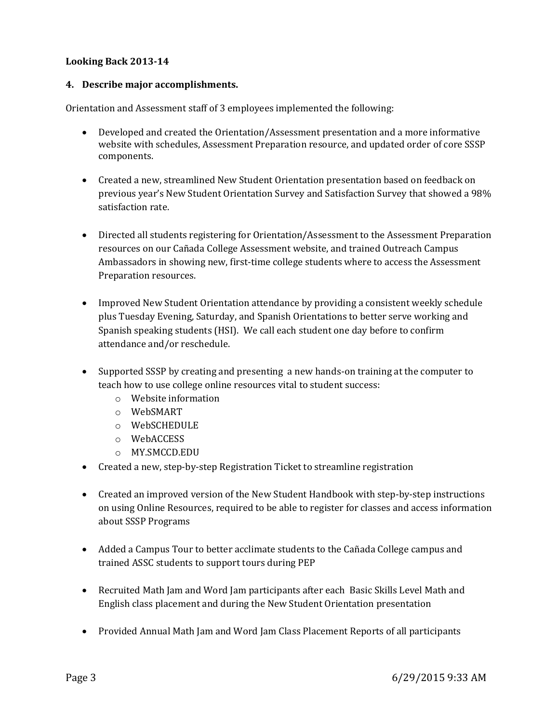# **Looking Back 2013-14**

## **4. Describe major accomplishments.**

Orientation and Assessment staff of 3 employees implemented the following:

- Developed and created the Orientation/Assessment presentation and a more informative website with schedules, Assessment Preparation resource, and updated order of core SSSP components.
- Created a new, streamlined New Student Orientation presentation based on feedback on previous year's New Student Orientation Survey and Satisfaction Survey that showed a 98% satisfaction rate.
- Directed all students registering for Orientation/Assessment to the Assessment Preparation resources on our Cañada College Assessment website, and trained Outreach Campus Ambassadors in showing new, first-time college students where to access the Assessment Preparation resources.
- Improved New Student Orientation attendance by providing a consistent weekly schedule plus Tuesday Evening, Saturday, and Spanish Orientations to better serve working and Spanish speaking students (HSI). We call each student one day before to confirm attendance and/or reschedule.
- Supported SSSP by creating and presenting a new hands-on training at the computer to teach how to use college online resources vital to student success:
	- o Website information
	- o WebSMART
	- o WebSCHEDULE
	- o WebACCESS
	- o MY.SMCCD.EDU
- Created a new, step-by-step Registration Ticket to streamline registration
- Created an improved version of the New Student Handbook with step-by-step instructions on using Online Resources, required to be able to register for classes and access information about SSSP Programs
- Added a Campus Tour to better acclimate students to the Cañada College campus and trained ASSC students to support tours during PEP
- Recruited Math Jam and Word Jam participants after each Basic Skills Level Math and English class placement and during the New Student Orientation presentation
- Provided Annual Math Jam and Word Jam Class Placement Reports of all participants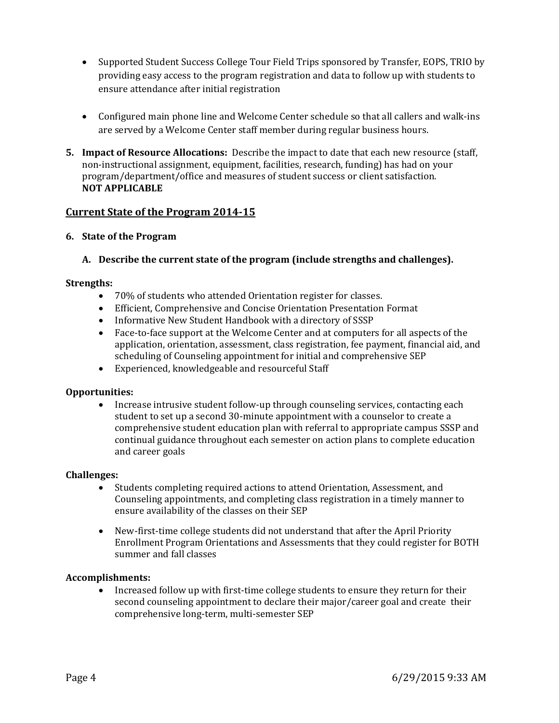- Supported Student Success College Tour Field Trips sponsored by Transfer, EOPS, TRIO by providing easy access to the program registration and data to follow up with students to ensure attendance after initial registration
- Configured main phone line and Welcome Center schedule so that all callers and walk-ins are served by a Welcome Center staff member during regular business hours.
- **5. Impact of Resource Allocations:** Describe the impact to date that each new resource (staff, non-instructional assignment, equipment, facilities, research, funding) has had on your program/department/office and measures of student success or client satisfaction. **NOT APPLICABLE**

# **Current State of the Program 2014-15**

**6. State of the Program**

## **A. Describe the current state of the program (include strengths and challenges).**

### **Strengths:**

- 70% of students who attended Orientation register for classes.
- Efficient, Comprehensive and Concise Orientation Presentation Format
- Informative New Student Handbook with a directory of SSSP
- Face-to-face support at the Welcome Center and at computers for all aspects of the application, orientation, assessment, class registration, fee payment, financial aid, and scheduling of Counseling appointment for initial and comprehensive SEP
- Experienced, knowledgeable and resourceful Staff

### **Opportunities:**

 Increase intrusive student follow-up through counseling services, contacting each student to set up a second 30-minute appointment with a counselor to create a comprehensive student education plan with referral to appropriate campus SSSP and continual guidance throughout each semester on action plans to complete education and career goals

### **Challenges:**

- Students completing required actions to attend Orientation, Assessment, and Counseling appointments, and completing class registration in a timely manner to ensure availability of the classes on their SEP
- New-first-time college students did not understand that after the April Priority Enrollment Program Orientations and Assessments that they could register for BOTH summer and fall classes

### **Accomplishments:**

• Increased follow up with first-time college students to ensure they return for their second counseling appointment to declare their major/career goal and create their comprehensive long-term, multi-semester SEP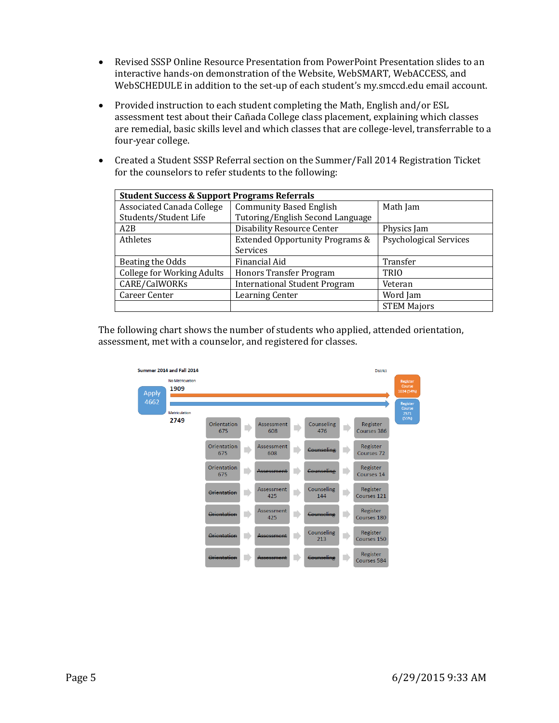- Revised SSSP Online Resource Presentation from PowerPoint Presentation slides to an interactive hands-on demonstration of the Website, WebSMART, WebACCESS, and WebSCHEDULE in addition to the set-up of each student's my.smccd.edu email account.
- Provided instruction to each student completing the Math, English and/or ESL assessment test about their Cañada College class placement, explaining which classes are remedial, basic skills level and which classes that are college-level, transferrable to a four-year college.
- Created a Student SSSP Referral section on the Summer/Fall 2014 Registration Ticket for the counselors to refer students to the following:

| <b>Student Success &amp; Support Programs Referrals</b> |                                      |                               |  |  |  |  |
|---------------------------------------------------------|--------------------------------------|-------------------------------|--|--|--|--|
| <b>Associated Canada College</b>                        | <b>Community Based English</b>       | Math Jam                      |  |  |  |  |
| Students/Student Life                                   | Tutoring/English Second Language     |                               |  |  |  |  |
| A2B                                                     | <b>Disability Resource Center</b>    | Physics Jam                   |  |  |  |  |
| Athletes<br>Extended Opportunity Programs &             |                                      | <b>Psychological Services</b> |  |  |  |  |
|                                                         | Services                             |                               |  |  |  |  |
| Beating the Odds                                        | Financial Aid                        | Transfer                      |  |  |  |  |
| <b>College for Working Adults</b>                       | Honors Transfer Program              | <b>TRIO</b>                   |  |  |  |  |
| CARE/CalWORKs                                           | <b>International Student Program</b> | Veteran                       |  |  |  |  |
| Career Center                                           | Learning Center                      | Word Jam                      |  |  |  |  |
|                                                         |                                      | <b>STEM Majors</b>            |  |  |  |  |

The following chart shows the number of students who applied, attended orientation, assessment, met with a counselor, and registered for classes.

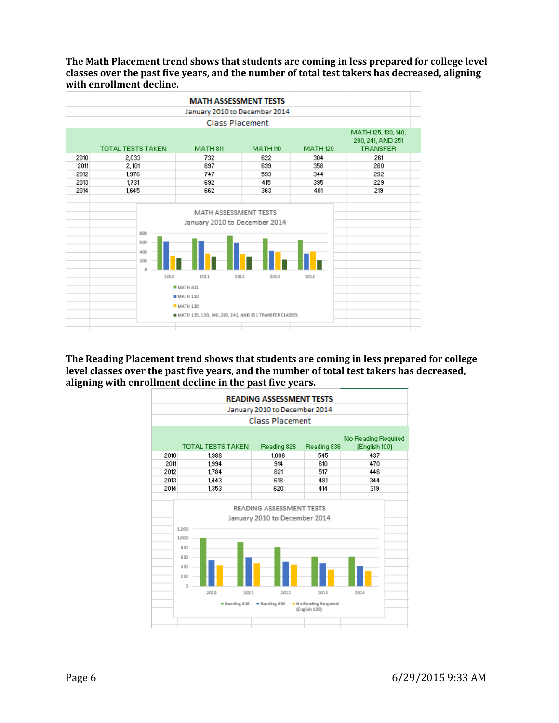**The Math Placement trend shows that students are coming in less prepared for college level classes over the past five years, and the number of total test takers has decreased, aligning with enrollment decline.**



**The Reading Placement trend shows that students are coming in less prepared for college level classes over the past five years, and the number of total test takers has decreased, aligning with enrollment decline in the past five years.**

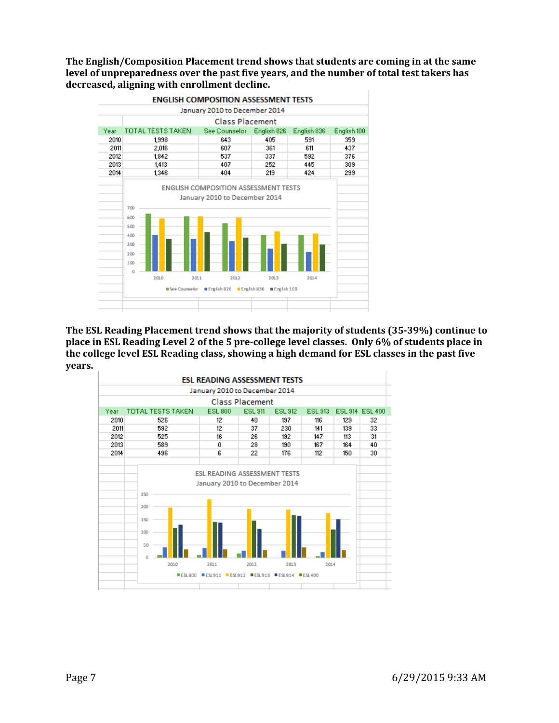**The English/Composition Placement trend shows that students are coming in at the same level of unpreparedness over the past five years, and the number of total test takers has decreased, aligning with enrollment decline.**



**The ESL Reading Placement trend shows that the majority of students (35-39%) continue to place in ESL Reading Level 2 of the 5 pre-college level classes. Only 6% of students place in the college level ESL Reading class, showing a high demand for ESL classes in the past five years.**

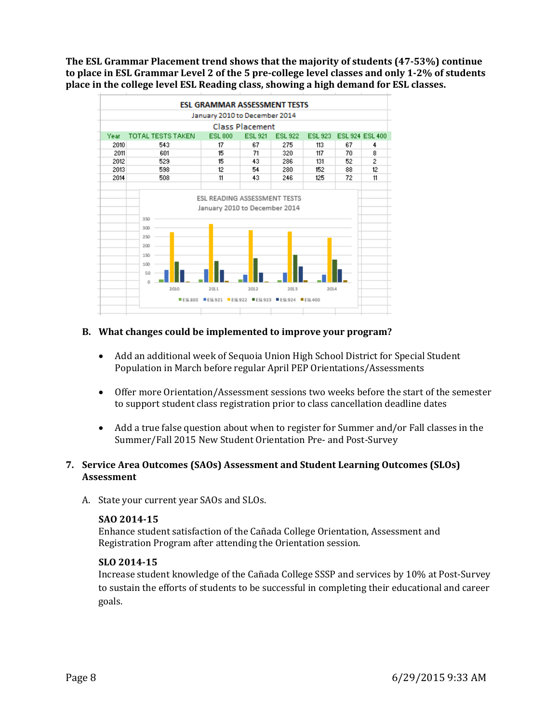**The ESL Grammar Placement trend shows that the majority of students (47-53%) continue to place in ESL Grammar Level 2 of the 5 pre-college level classes and only 1-2% of students place in the college level ESL Reading class, showing a high demand for ESL classes.**



## **B. What changes could be implemented to improve your program?**

- Add an additional week of Sequoia Union High School District for Special Student Population in March before regular April PEP Orientations/Assessments
- Offer more Orientation/Assessment sessions two weeks before the start of the semester to support student class registration prior to class cancellation deadline dates
- Add a true false question about when to register for Summer and/or Fall classes in the Summer/Fall 2015 New Student Orientation Pre- and Post-Survey

## **7. Service Area Outcomes (SAOs) Assessment and Student Learning Outcomes (SLOs) Assessment**

A. State your current year SAOs and SLOs.

### **SAO 2014-15**

Enhance student satisfaction of the Cañada College Orientation, Assessment and Registration Program after attending the Orientation session.

## **SLO 2014-15**

Increase student knowledge of the Cañada College SSSP and services by 10% at Post-Survey to sustain the efforts of students to be successful in completing their educational and career goals.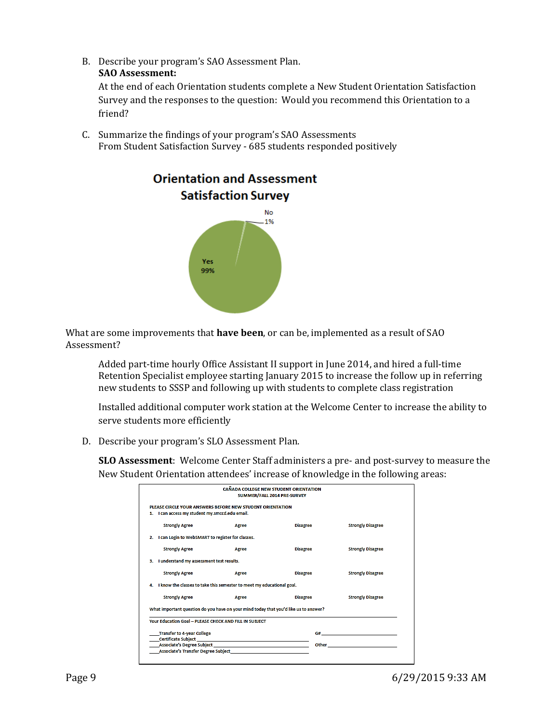B. Describe your program's SAO Assessment Plan.

# **SAO Assessment:**

At the end of each Orientation students complete a New Student Orientation Satisfaction Survey and the responses to the question: Would you recommend this Orientation to a friend?

C. Summarize the findings of your program's SAO Assessments From Student Satisfaction Survey - 685 students responded positively



What are some improvements that **have been**, or can be, implemented as a result of SAO Assessment?

Added part-time hourly Office Assistant II support in June 2014, and hired a full-time Retention Specialist employee starting January 2015 to increase the follow up in referring new students to SSSP and following up with students to complete class registration

Installed additional computer work station at the Welcome Center to increase the ability to serve students more efficiently

D. Describe your program's SLO Assessment Plan.

**SLO Assessment**: Welcome Center Staff administers a pre- and post-survey to measure the New Student Orientation attendees' increase of knowledge in the following areas:

| CAÑADA COLLEGE NEW STUDENT ORIENTATION<br>SUMMER/FALL 2014 PRE-SURVEY                                       |                                                                                                                                                                                                                                |                 |                                                                                                                |  |  |  |  |
|-------------------------------------------------------------------------------------------------------------|--------------------------------------------------------------------------------------------------------------------------------------------------------------------------------------------------------------------------------|-----------------|----------------------------------------------------------------------------------------------------------------|--|--|--|--|
| PLEASE CIRCLE YOUR ANSWERS BEFORE NEW STUDENT ORIENTATION<br>1. I can access my student my.smccd.edu email. |                                                                                                                                                                                                                                |                 |                                                                                                                |  |  |  |  |
| <b>Strongly Agree</b>                                                                                       | Agree                                                                                                                                                                                                                          | <b>Disagree</b> | <b>Strongly Disagree</b>                                                                                       |  |  |  |  |
| 2. I can Login to WebSMART to register for classes.                                                         |                                                                                                                                                                                                                                |                 |                                                                                                                |  |  |  |  |
| <b>Strongly Agree</b>                                                                                       | Agree                                                                                                                                                                                                                          | <b>Disagree</b> | <b>Strongly Disagree</b>                                                                                       |  |  |  |  |
| 3. I understand my assessment test results.                                                                 |                                                                                                                                                                                                                                |                 |                                                                                                                |  |  |  |  |
| <b>Strongly Agree</b>                                                                                       | Agree                                                                                                                                                                                                                          | <b>Disagree</b> | <b>Strongly Disagree</b>                                                                                       |  |  |  |  |
| 4. I know the classes to take this semester to meet my educational goal.                                    |                                                                                                                                                                                                                                |                 |                                                                                                                |  |  |  |  |
| <b>Strongly Agree</b>                                                                                       | Agree                                                                                                                                                                                                                          | <b>Disagree</b> | <b>Strongly Disagree</b>                                                                                       |  |  |  |  |
| What important question do you have on your mind today that you'd like us to answer?                        |                                                                                                                                                                                                                                |                 |                                                                                                                |  |  |  |  |
| Your Education Goal - PLEASE CHECK AND FILL IN SUBJECT                                                      |                                                                                                                                                                                                                                |                 |                                                                                                                |  |  |  |  |
| <b>Transfer to 4-year College</b>                                                                           | Certificate Subject and the control of the control of the control of the control of the control of the control of the control of the control of the control of the control of the control of the control of the control of the |                 | G# Contract to the contract of the contract of the contract of the contract of the contract of the contract of |  |  |  |  |
|                                                                                                             | Associate's Degree Subject entertainment and all the contract of the contract of the contract of the contract of the contract of the contract of the contract of the contract of the contract of the contract of the contract  |                 | Other than the contract of the contract of the contract of the contract of the contract of the contract of the |  |  |  |  |
|                                                                                                             | Associate's Transfer Degree Subject                                                                                                                                                                                            |                 |                                                                                                                |  |  |  |  |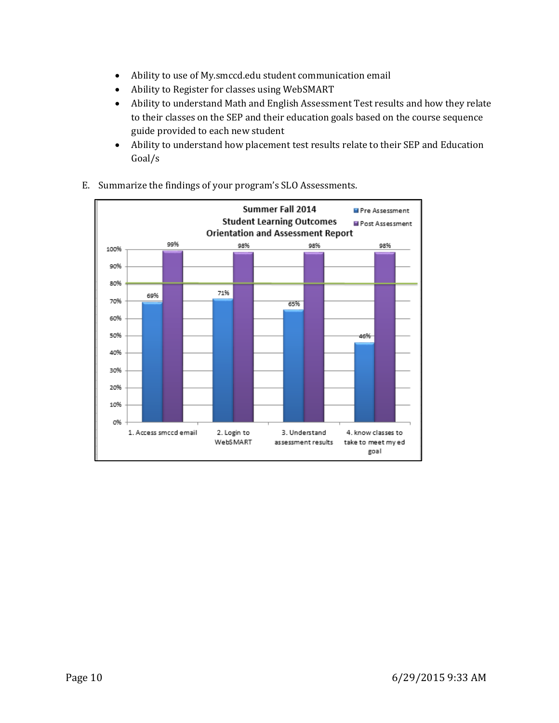- Ability to use of My.smccd.edu student communication email
- Ability to Register for classes using WebSMART
- Ability to understand Math and English Assessment Test results and how they relate to their classes on the SEP and their education goals based on the course sequence guide provided to each new student
- Ability to understand how placement test results relate to their SEP and Education Goal/s



E. Summarize the findings of your program's SLO Assessments.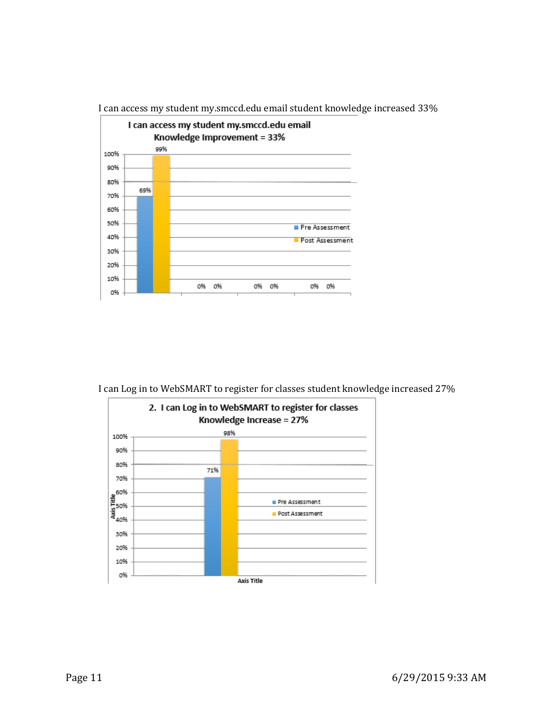

I can access my student my.smccd.edu email student knowledge increased 33%

I can Log in to WebSMART to register for classes student knowledge increased 27%

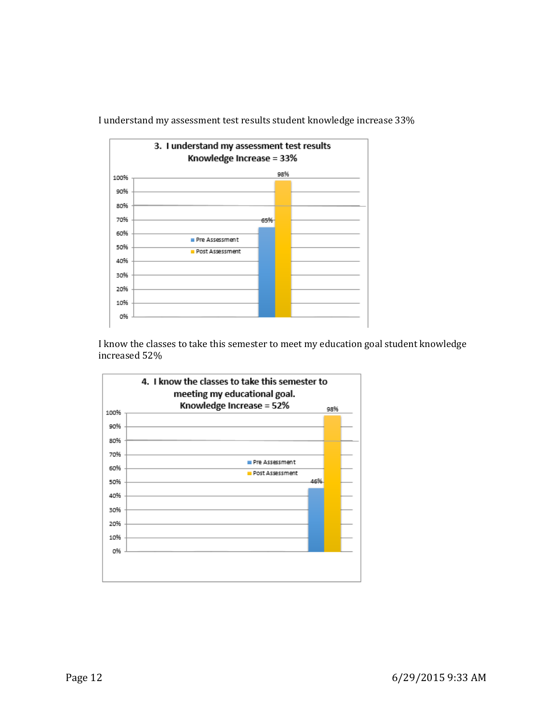

I understand my assessment test results student knowledge increase 33%

I know the classes to take this semester to meet my education goal student knowledge increased 52%

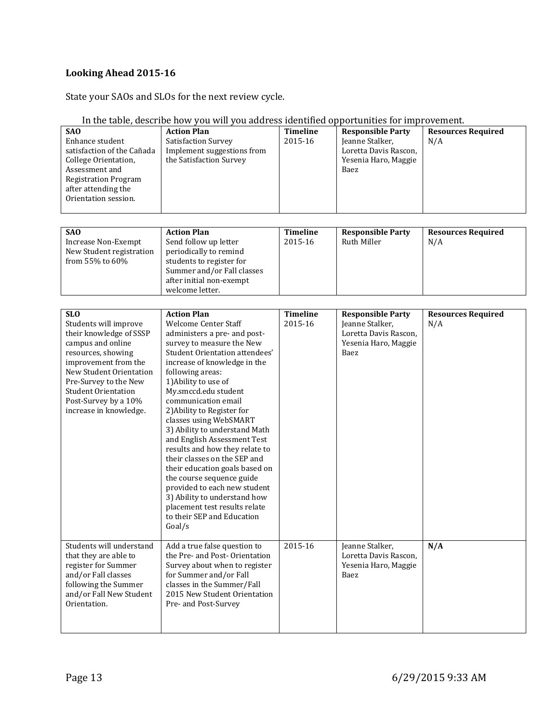# **Looking Ahead 2015-16**

# State your SAOs and SLOs for the next review cycle.

| SA <sub>0</sub><br>Enhance student<br>satisfaction of the Cañada<br>College Orientation,<br>Assessment and<br><b>Registration Program</b><br>after attending the<br>Orientation session.                                                                              | <b>Action Plan</b><br>Satisfaction Survey<br>Implement suggestions from<br>the Satisfaction Survey                                                                                                                                                                                                                                                                                                                                                                                                                                                                                                                                                                            | <b>Timeline</b><br>2015-16 | <b>Responsible Party</b><br>Jeanne Stalker,<br>Loretta Davis Rascon,<br>Yesenia Haro, Maggie<br>Baez | <b>Resources Required</b><br>N/A |
|-----------------------------------------------------------------------------------------------------------------------------------------------------------------------------------------------------------------------------------------------------------------------|-------------------------------------------------------------------------------------------------------------------------------------------------------------------------------------------------------------------------------------------------------------------------------------------------------------------------------------------------------------------------------------------------------------------------------------------------------------------------------------------------------------------------------------------------------------------------------------------------------------------------------------------------------------------------------|----------------------------|------------------------------------------------------------------------------------------------------|----------------------------------|
| SA <sub>0</sub><br><b>Increase Non-Exempt</b><br>New Student registration<br>from 55% to 60%                                                                                                                                                                          | <b>Action Plan</b><br>Send follow up letter<br>periodically to remind<br>students to register for<br>Summer and/or Fall classes<br>after initial non-exempt<br>welcome letter.                                                                                                                                                                                                                                                                                                                                                                                                                                                                                                | <b>Timeline</b><br>2015-16 | <b>Responsible Party</b><br><b>Ruth Miller</b>                                                       | <b>Resources Required</b><br>N/A |
| <b>SLO</b><br>Students will improve<br>their knowledge of SSSP<br>campus and online<br>resources, showing<br>improvement from the<br>New Student Orientation<br>Pre-Survey to the New<br><b>Student Orientation</b><br>Post-Survey by a 10%<br>increase in knowledge. | <b>Action Plan</b><br><b>Welcome Center Staff</b><br>administers a pre- and post-<br>survey to measure the New<br>Student Orientation attendees'<br>increase of knowledge in the<br>following areas:<br>1) Ability to use of<br>My.smccd.edu student<br>communication email<br>2) Ability to Register for<br>classes using WebSMART<br>3) Ability to understand Math<br>and English Assessment Test<br>results and how they relate to<br>their classes on the SEP and<br>their education goals based on<br>the course sequence guide<br>provided to each new student<br>3) Ability to understand how<br>placement test results relate<br>to their SEP and Education<br>Goal/s | <b>Timeline</b><br>2015-16 | <b>Responsible Party</b><br>Jeanne Stalker,<br>Loretta Davis Rascon,<br>Yesenia Haro, Maggie<br>Baez | <b>Resources Required</b><br>N/A |
| Students will understand<br>that they are able to<br>register for Summer<br>and/or Fall classes<br>following the Summer<br>and/or Fall New Student<br>Orientation.                                                                                                    | Add a true false question to<br>the Pre- and Post-Orientation<br>Survey about when to register<br>for Summer and/or Fall<br>classes in the Summer/Fall<br>2015 New Student Orientation<br>Pre- and Post-Survey                                                                                                                                                                                                                                                                                                                                                                                                                                                                | 2015-16                    | Jeanne Stalker,<br>Loretta Davis Rascon,<br>Yesenia Haro, Maggie<br>Baez                             | N/A                              |

#### In the table, describe how you will you address identified opportunities for improvement.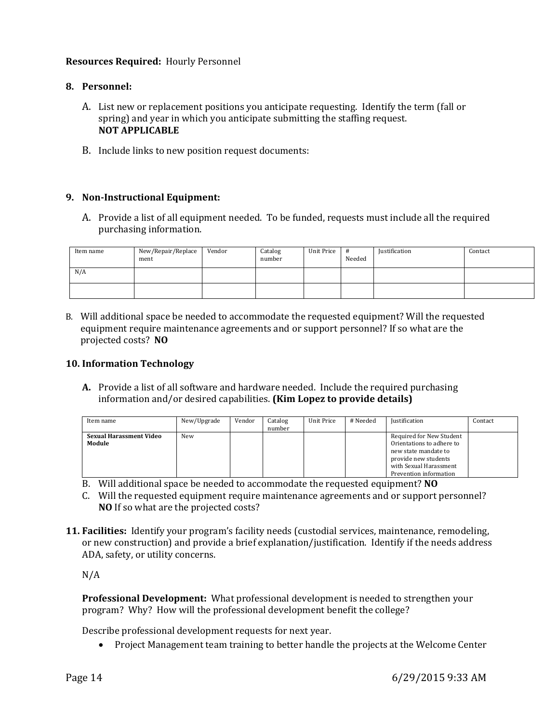## **Resources Required:** Hourly Personnel

## **8. Personnel:**

- A. List new or replacement positions you anticipate requesting. Identify the term (fall or spring) and year in which you anticipate submitting the staffing request. **NOT APPLICABLE**
- B. Include links to new position request documents:

### **9. Non-Instructional Equipment:**

A. Provide a list of all equipment needed. To be funded, requests must include all the required purchasing information.

| Item name | New/Repair/Replace<br>ment | Vendor | Catalog<br>number | Unit Price | #<br>Needed | <b>Justification</b> | Contact |
|-----------|----------------------------|--------|-------------------|------------|-------------|----------------------|---------|
| N/A       |                            |        |                   |            |             |                      |         |
|           |                            |        |                   |            |             |                      |         |

B. Will additional space be needed to accommodate the requested equipment? Will the requested equipment require maintenance agreements and or support personnel? If so what are the projected costs? **NO**

## **10. Information Technology**

**A.** Provide a list of all software and hardware needed. Include the required purchasing information and/or desired capabilities. **(Kim Lopez to provide details)**

| Item name                                | New/Upgrade | Vendor                                                                                              | Catalog<br>number | Unit Price                                         | # Needed | <b>Justification</b> | Contact |
|------------------------------------------|-------------|-----------------------------------------------------------------------------------------------------|-------------------|----------------------------------------------------|----------|----------------------|---------|
| <b>Sexual Harassment Video</b><br>Module | New         | Orientations to adhere to<br>new state mandate to<br>provide new students<br>with Sexual Harassment |                   | Required for New Student<br>Prevention information |          |                      |         |

- B. Will additional space be needed to accommodate the requested equipment? **NO**
- C. Will the requested equipment require maintenance agreements and or support personnel? **NO** If so what are the projected costs?
- **11. Facilities:** Identify your program's facility needs (custodial services, maintenance, remodeling, or new construction) and provide a brief explanation/justification. Identify if the needs address ADA, safety, or utility concerns.

N/A

**Professional Development:** What professional development is needed to strengthen your program? Why? How will the professional development benefit the college?

Describe professional development requests for next year.

Project Management team training to better handle the projects at the Welcome Center